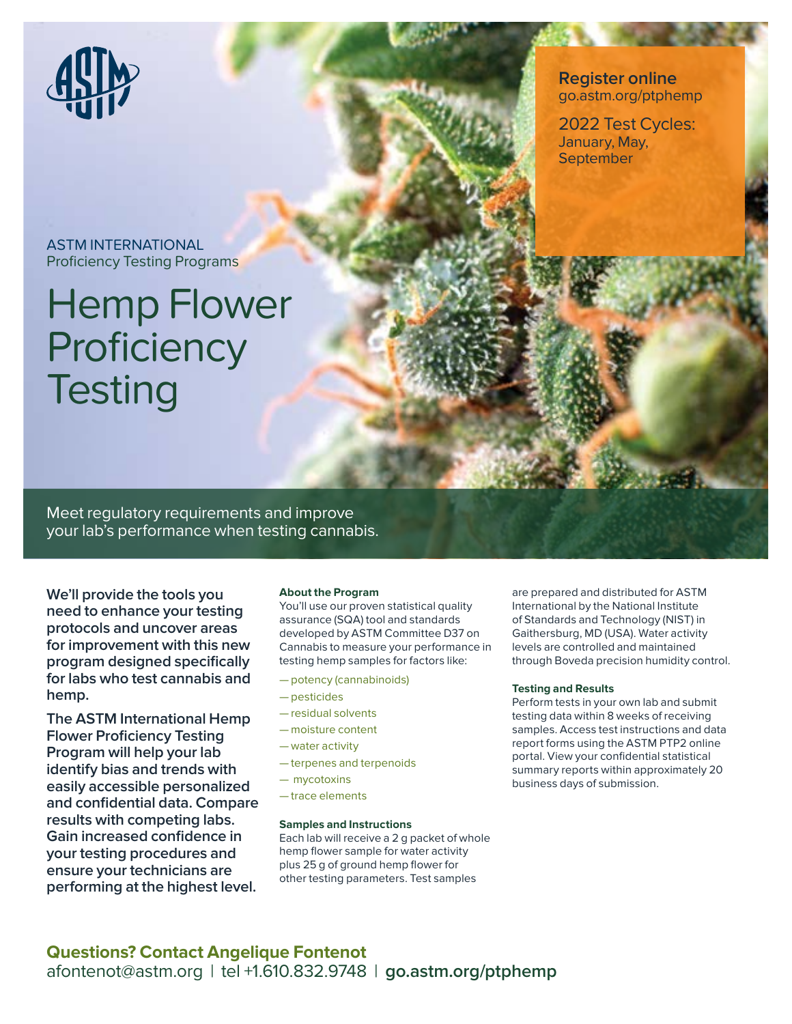

### **Register online**  go.astm.org/ptphemp

2022 Test Cycles: January, May, September

ASTM INTERNATIONAL Proficiency Testing Programs

# Hemp Flower **Proficiency Testing**

Meet regulatory requirements and improve your lab's performance when testing cannabis.

**We'll provide the tools you need to enhance your testing protocols and uncover areas for improvement with this new program designed specifically for labs who test cannabis and hemp.**

**The ASTM International Hemp Flower Proficiency Testing Program will help your lab identify bias and trends with easily accessible personalized and confidential data. Compare results with competing labs. Gain increased confidence in your testing procedures and ensure your technicians are performing at the highest level.**

#### **About the Program**

You'll use our proven statistical quality assurance (SQA) tool and standards developed by ASTM Committee D37 on Cannabis to measure your performance in testing hemp samples for factors like:

- potency (cannabinoids)
- pesticides
- residual solvents
- moisture content
- water activity
- terpenes and terpenoids
- mycotoxins
- trace elements

#### **Samples and Instructions**

Each lab will receive a 2 g packet of whole hemp flower sample for water activity plus 25 g of ground hemp flower for other testing parameters. Test samples

are prepared and distributed for ASTM International by the National Institute of Standards and Technology (NIST) in Gaithersburg, MD (USA). Water activity levels are controlled and maintained through Boveda precision humidity control.

#### **Testing and Results**

Perform tests in your own lab and submit testing data within 8 weeks of receiving samples. Access test instructions and data report forms using the ASTM PTP2 online portal. View your confidential statistical summary reports within approximately 20 business days of submission.